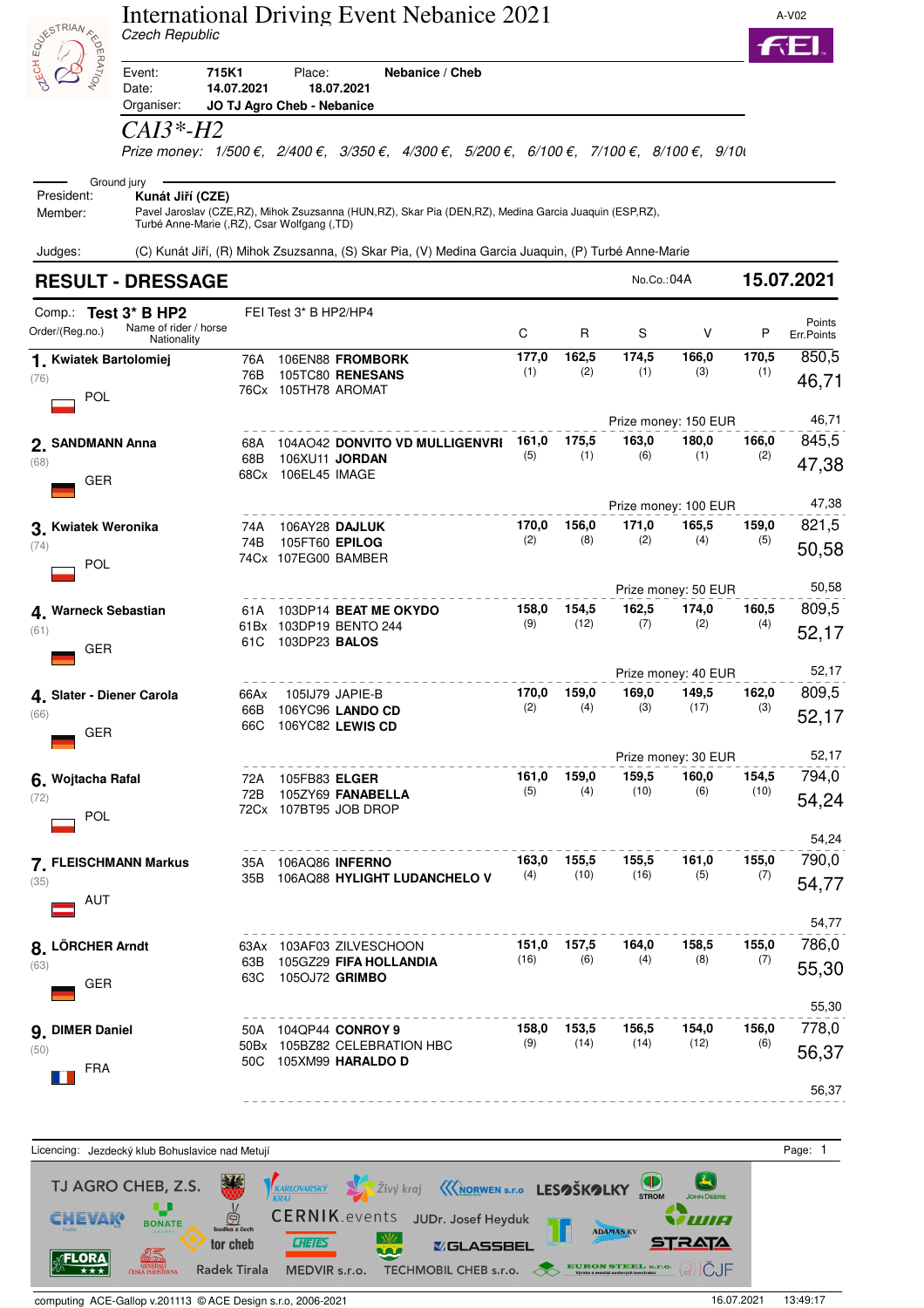| <b>BUSICAL ASSESSIBLE PROPERTY</b>             | Czech Republic                                                                 |             |                                       | International Driving Event Nebanice 2021                                                                                                                                    |              |                    |               |                      |               | A-V02                   |
|------------------------------------------------|--------------------------------------------------------------------------------|-------------|---------------------------------------|------------------------------------------------------------------------------------------------------------------------------------------------------------------------------|--------------|--------------------|---------------|----------------------|---------------|-------------------------|
|                                                | 715K1<br>Event:<br>Date:<br>Organiser:                                         | 14.07.2021  | Place:<br>JO TJ Agro Cheb - Nebanice  | Nebanice / Cheb<br>18.07.2021                                                                                                                                                |              |                    |               |                      |               |                         |
|                                                | CAI3*-H2                                                                       |             |                                       | Prize money: $1/500 \epsilon$ , $2/400 \epsilon$ , $3/350 \epsilon$ , $4/300 \epsilon$ , $5/200 \epsilon$ , $6/100 \epsilon$ , $7/100 \epsilon$ , $8/100 \epsilon$ , $9/100$ |              |                    |               |                      |               |                         |
| President:<br>Member:                          | Ground jury<br>Kunát Jiří (CZE)<br>Turbé Anne-Marie (,RZ), Csar Wolfgang (,TD) |             |                                       | Pavel Jaroslav (CZE, RZ), Mihok Zsuzsanna (HUN, RZ), Skar Pia (DEN, RZ), Medina Garcia Juaquin (ESP, RZ),                                                                    |              |                    |               |                      |               |                         |
| Judges:                                        |                                                                                |             |                                       | (C) Kunát Jiří, (R) Mihok Zsuzsanna, (S) Skar Pia, (V) Medina Garcia Juaquin, (P) Turbé Anne-Marie                                                                           |              |                    |               |                      |               |                         |
|                                                | <b>RESULT - DRESSAGE</b>                                                       |             |                                       |                                                                                                                                                                              |              |                    | No.Co.:04A    |                      |               | 15.07.2021              |
| Comp.: Test 3* B HP2<br>Order/(Reg.no.)        | Name of rider / horse<br>Nationality                                           |             | FEI Test 3* B HP2/HP4                 |                                                                                                                                                                              | C            | R                  | S             | v                    | P             | Points<br>Err.Points    |
| 1. Kwiatek Bartolomiej<br>(76)<br>POL          |                                                                                | 76A<br>76B  | 76Cx 105TH78 AROMAT                   | 106EN88 FROMBORK<br>105TC80 RENESANS                                                                                                                                         | 177,0<br>(1) | 162,5<br>(2)       | 174,5<br>(1)  | 166,0<br>(3)         | 170,5<br>(1)  | 850,5<br>46,71          |
|                                                |                                                                                |             |                                       |                                                                                                                                                                              |              |                    |               | Prize money: 150 EUR |               | 46,71                   |
| 2. SANDMANN Anna<br>(68)<br><b>GER</b>         |                                                                                | 68A<br>68B  | 68Cx 106EL45 IMAGE                    | 104AO42 DONVITO VD MULLIGENVRI<br>106XU11 JORDAN                                                                                                                             | 161,0<br>(5) | 175,5<br>(1)       | 163,0<br>(6)  | 180,0<br>(1)         | 166,0<br>(2)  | 845,5<br>47,38          |
|                                                |                                                                                |             |                                       |                                                                                                                                                                              |              |                    |               | Prize money: 100 EUR |               | 47,38                   |
| 3. Kwiatek Weronika<br>(74)<br>POL             |                                                                                | 74A<br>74B  | 105FT60 EPILOG<br>74Cx 107EG00 BAMBER | 106AY28 DAJLUK                                                                                                                                                               | 170,0<br>(2) | 156,0<br>(8)       | 171,0<br>(2)  | 165,5<br>(4)         | 159,0<br>(5)  | 821,5<br>50,58          |
|                                                |                                                                                |             |                                       |                                                                                                                                                                              |              |                    |               | Prize money: 50 EUR  |               | 50,58                   |
| 4. Warneck Sebastian<br>(61)<br><b>GER</b>     |                                                                                | 61A<br>61 C | 103DP23 <b>BALOS</b>                  | 103DP14 BEAT ME OKYDO<br>61Bx 103DP19 BENTO 244                                                                                                                              | 158,0<br>(9) | 154,5<br>(12)      | 162,5<br>(7)  | 174,0<br>(2)         | 160,5<br>(4)  | 809,5<br>52,17          |
|                                                |                                                                                |             |                                       |                                                                                                                                                                              |              |                    |               | Prize money: 40 EUR  |               | 52,17                   |
| 4 Slater - Diener Carola<br>(66)<br><b>GER</b> |                                                                                | 66Ax<br>66C |                                       | 105IJ79 JAPIE-B<br>66B 106YC96 LANDO CD<br>106YC82 LEWIS CD                                                                                                                  | 170,0<br>(2) | 159,0<br>(4)       | 169,0<br>(3)  | 149,5<br>(17)        | 162,0<br>(3)  | 809,5<br>52,17          |
|                                                |                                                                                |             |                                       |                                                                                                                                                                              |              |                    |               | Prize money: 30 EUR  |               | 52,17                   |
| 6. Wojtacha Rafal<br>(72)<br>POL               |                                                                                | 72A<br>72B  | 105FB83 <b>ELGER</b>                  | 105ZY69 FANABELLA<br>72Cx 107BT95 JOB DROP                                                                                                                                   | 161,0<br>(5) | 159,0<br>(4)       | 159,5<br>(10) | 160,0<br>(6)         | 154,5<br>(10) | 794,0<br>54,24          |
| 7. FLEISCHMANN Markus<br>(35)<br>AUT           |                                                                                | 35B         | 35A 106AQ86 INFERNO                   | 106AQ88 HYLIGHT LUDANCHELO V                                                                                                                                                 | 163,0<br>(4) | 155,5<br>(10)      | 155,5<br>(16) | 161,0<br>(5)         | 155,0<br>(7)  | 54,24<br>790,0<br>54,77 |
|                                                |                                                                                |             |                                       |                                                                                                                                                                              |              |                    |               |                      |               | 54,77                   |
| 8. LÖRCHER Arndt<br>(63)<br><b>GER</b>         |                                                                                | 63B<br>63C  | 1050J72 <b>GRIMBO</b>                 | 63Ax 103AF03 ZILVESCHOON<br>105GZ29 <b>FIFA HOLLANDIA</b>                                                                                                                    | (16)         | 151,0 157,5<br>(6) | 164,0<br>(4)  | 158,5<br>(8)         | 155,0<br>(7)  | 786,0<br>55,30          |
| 9. DIMER Daniel<br>(50)                        |                                                                                |             |                                       | 50A 104QP44 CONROY 9<br>50Bx 105BZ82 CELEBRATION HBC<br>50C 105XM99 <b>HARALDO D</b>                                                                                         | 158,0<br>(9) | 153,5<br>(14)      | 156,5<br>(14) | 154,0<br>(12)        | 156,0<br>(6)  | 55,30<br>778,0<br>56,37 |
| <b>FRA</b>                                     |                                                                                |             |                                       |                                                                                                                                                                              |              |                    |               |                      |               | 56,37                   |

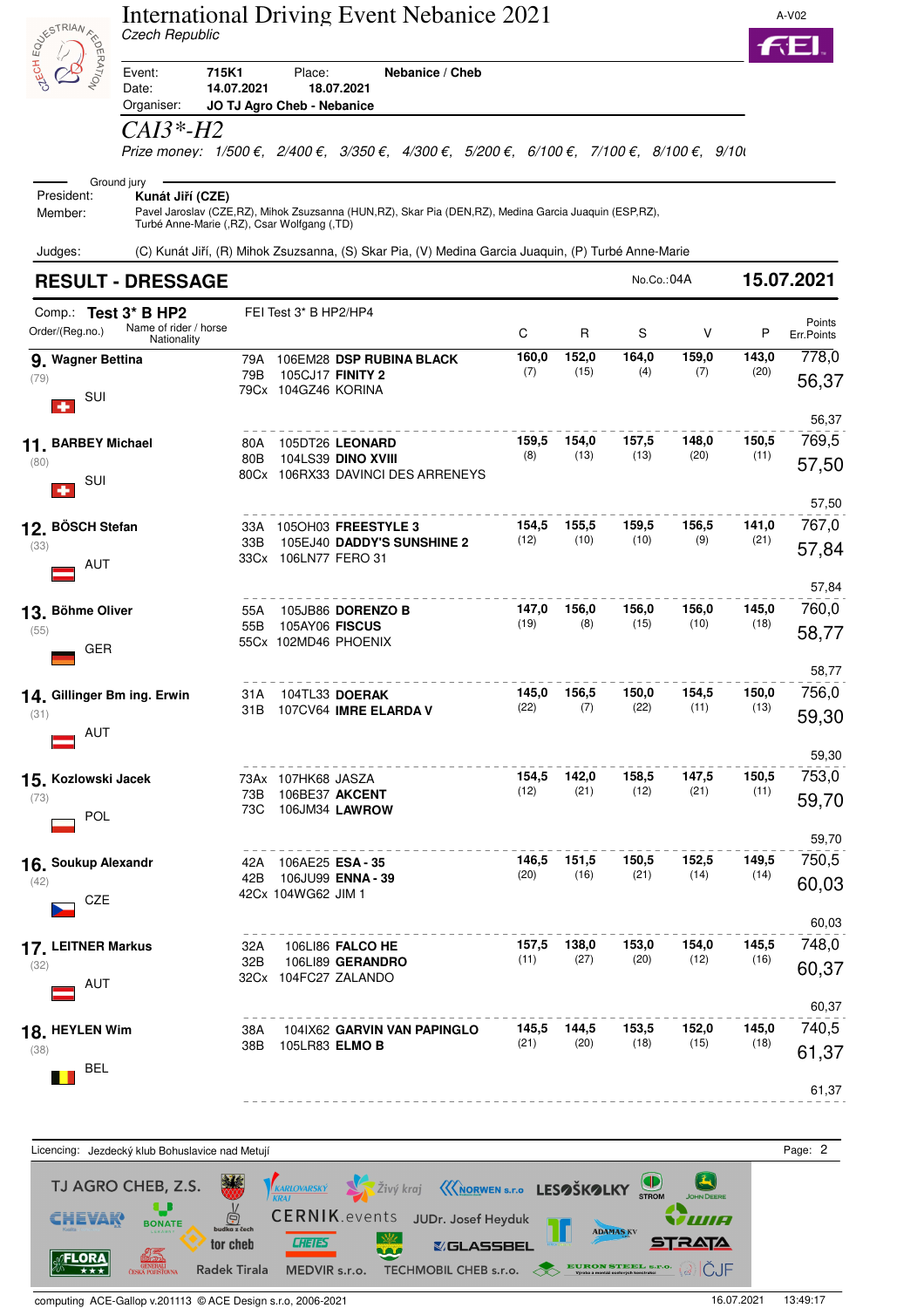|                                            | Czech Republic                                                                 |            |                                      | International Driving Event Nebanice 2021                                                                                                                                    |               |               |               |               |               | A-V02                   |
|--------------------------------------------|--------------------------------------------------------------------------------|------------|--------------------------------------|------------------------------------------------------------------------------------------------------------------------------------------------------------------------------|---------------|---------------|---------------|---------------|---------------|-------------------------|
| <b>BUSICAL ASSESSIBLE PROPERTY</b>         | 715K1<br>Event:<br>Date:                                                       | 14.07.2021 | Place:<br>JO TJ Agro Cheb - Nebanice | Nebanice / Cheb<br>18.07.2021                                                                                                                                                |               |               |               |               |               |                         |
|                                            | Organiser:<br><i>CAI3*-H2</i>                                                  |            |                                      | Prize money: $1/500 \epsilon$ , $2/400 \epsilon$ , $3/350 \epsilon$ , $4/300 \epsilon$ , $5/200 \epsilon$ , $6/100 \epsilon$ , $7/100 \epsilon$ , $8/100 \epsilon$ , $9/100$ |               |               |               |               |               |                         |
| President:<br>Member:                      | Ground jury<br>Kunát Jiří (CZE)<br>Turbé Anne-Marie (,RZ), Csar Wolfgang (,TD) |            |                                      | Pavel Jaroslav (CZE, RZ), Mihok Zsuzsanna (HUN, RZ), Skar Pia (DEN, RZ), Medina Garcia Juaquin (ESP, RZ),                                                                    |               |               |               |               |               |                         |
| Judges:                                    |                                                                                |            |                                      | (C) Kunát Jiří, (R) Mihok Zsuzsanna, (S) Skar Pia, (V) Medina Garcia Juaquin, (P) Turbé Anne-Marie                                                                           |               |               |               |               |               |                         |
|                                            | <b>RESULT - DRESSAGE</b>                                                       |            |                                      |                                                                                                                                                                              |               |               | No.Co.:04A    |               |               | 15.07.2021              |
| Comp.: Test 3* B HP2<br>Order/(Reg.no.)    | Name of rider / horse<br>Nationality                                           |            | FEI Test 3* B HP2/HP4                |                                                                                                                                                                              | C             | R             | S             | V             | P             | Points<br>Err.Points    |
| 9. Wagner Bettina<br>(79)<br>SUI           |                                                                                | 79A<br>79B | 79Cx 104GZ46 KORINA                  | 106EM28 DSP RUBINA BLACK<br>105CJ17 FINITY 2                                                                                                                                 | 160,0<br>(7)  | 152,0<br>(15) | 164,0<br>(4)  | 159,0<br>(7)  | 143,0<br>(20) | 778,0<br>56,37          |
| 11. BARBEY Michael<br>(80)<br>SUI          |                                                                                | 80A<br>80B |                                      | 105DT26 LEONARD<br>104LS39 DINO XVIII<br>80Cx 106RX33 DAVINCI DES ARRENEYS                                                                                                   | 159,5<br>(8)  | 154,0<br>(13) | 157,5<br>(13) | 148,0<br>(20) | 150,5<br>(11) | 56,37<br>769,5<br>57,50 |
| 12. BÖSCH Stefan<br>(33)<br><b>AUT</b>     |                                                                                | 33A<br>33B | 33Cx 106LN77 FERO 31                 | 1050H03 FREESTYLE 3<br>105EJ40 DADDY'S SUNSHINE 2                                                                                                                            | 154,5<br>(12) | 155,5<br>(10) | 159,5<br>(10) | 156,5<br>(9)  | 141,0<br>(21) | 57,50<br>767,0<br>57,84 |
| 13. Böhme Oliver<br>(55)<br>GER            |                                                                                | 55A<br>55B | 105AY06 <b>FISCUS</b>                | 105JB86 DORENZO B<br>55Cx 102MD46 PHOENIX                                                                                                                                    | 147,0<br>(19) | 156,0<br>(8)  | 156,0<br>(15) | 156,0<br>(10) | 145,0<br>(18) | 57,84<br>760,0<br>58,77 |
| 14. Gillinger Bm ing. Erwin<br>(31)<br>AUT |                                                                                | 31 A       |                                      | 104TL33 DOERAK<br>31B 107CV64 IMRE ELARDA V                                                                                                                                  | 145,0<br>(22) | 156,5<br>(7)  | 150,0<br>(22) | 154,5<br>(11) | 150,0<br>(13) | 58,77<br>756,0<br>59,30 |
| 15. Kozlowski Jacek<br>(73)<br>POL         |                                                                                | 73B<br>73C | 73Ax 107HK68 JASZA<br>106BE37 AKCENT | 106JM34 LAWROW                                                                                                                                                               | 154,5<br>(12) | 142,0<br>(21) | 158,5<br>(12) | 147,5<br>(21) | 150,5<br>(11) | 59,30<br>753,0<br>59,70 |
| 16. Soukup Alexandr<br>(42)<br>CZE         |                                                                                | 42A<br>42B | 106AE25 ESA-35<br>42Cx 104WG62 JIM 1 | 106JU99 <b>ENNA - 39</b>                                                                                                                                                     | 146,5<br>(20) | 151,5<br>(16) | 150,5<br>(21) | 152,5<br>(14) | 149,5<br>(14) | 59,70<br>750,5<br>60,03 |
| 17. LEITNER Markus<br>(32)<br>AUT          |                                                                                | 32A<br>32B |                                      | <b>106LI86 FALCO HE</b><br>106LI89 GERANDRO<br>32Cx 104FC27 ZALANDO                                                                                                          | 157,5<br>(11) | 138,0<br>(27) | 153,0<br>(20) | 154,0<br>(12) | 145,5<br>(16) | 60,03<br>748,0<br>60,37 |
| 18. HEYLEN Wim<br>(38)<br><b>BEL</b>       |                                                                                | 38A<br>38B | 105LR83 ELMO B                       | 104IX62 GARVIN VAN PAPINGLO                                                                                                                                                  | 145,5<br>(21) | 144,5<br>(20) | 153,5<br>(18) | 152,0<br>(15) | 145,0<br>(18) | 60,37<br>740,5<br>61,37 |
|                                            |                                                                                |            |                                      |                                                                                                                                                                              |               |               |               |               |               | 61,37                   |

Licencing: Jezdecký klub Bohuslavice nad Metují entrych protokové protokové protokové protokové protokové protokové protokové protokové protokové protokové protokové protokové protokové protokové protokové protokové protok **Y** Zivý kraj **KNORWEN** s.r.o LESOŠKOLKY STROM  $\bigodot$ TJ AGRO CHEB, Z.S.  $\underbrace{\bigoplus_{\text{udka } z \text{ ĉech}}$ **BONATE** CERNIK.events JUDr. Josef Heyduk **CHEVAK** WA **ADAMAS KV**  $\frac{1}{2}$ **CHEIES STRATA** tor cheb **YGLASSBEL** Ϋ́Ю 01<del>27</del><br>Okyppan<br>Generali **FLORA** EURON STEEL S.P.O. @ IČJF Radek Tirala MEDVIR s.r.o. TECHMOBIL CHEB s.r.o.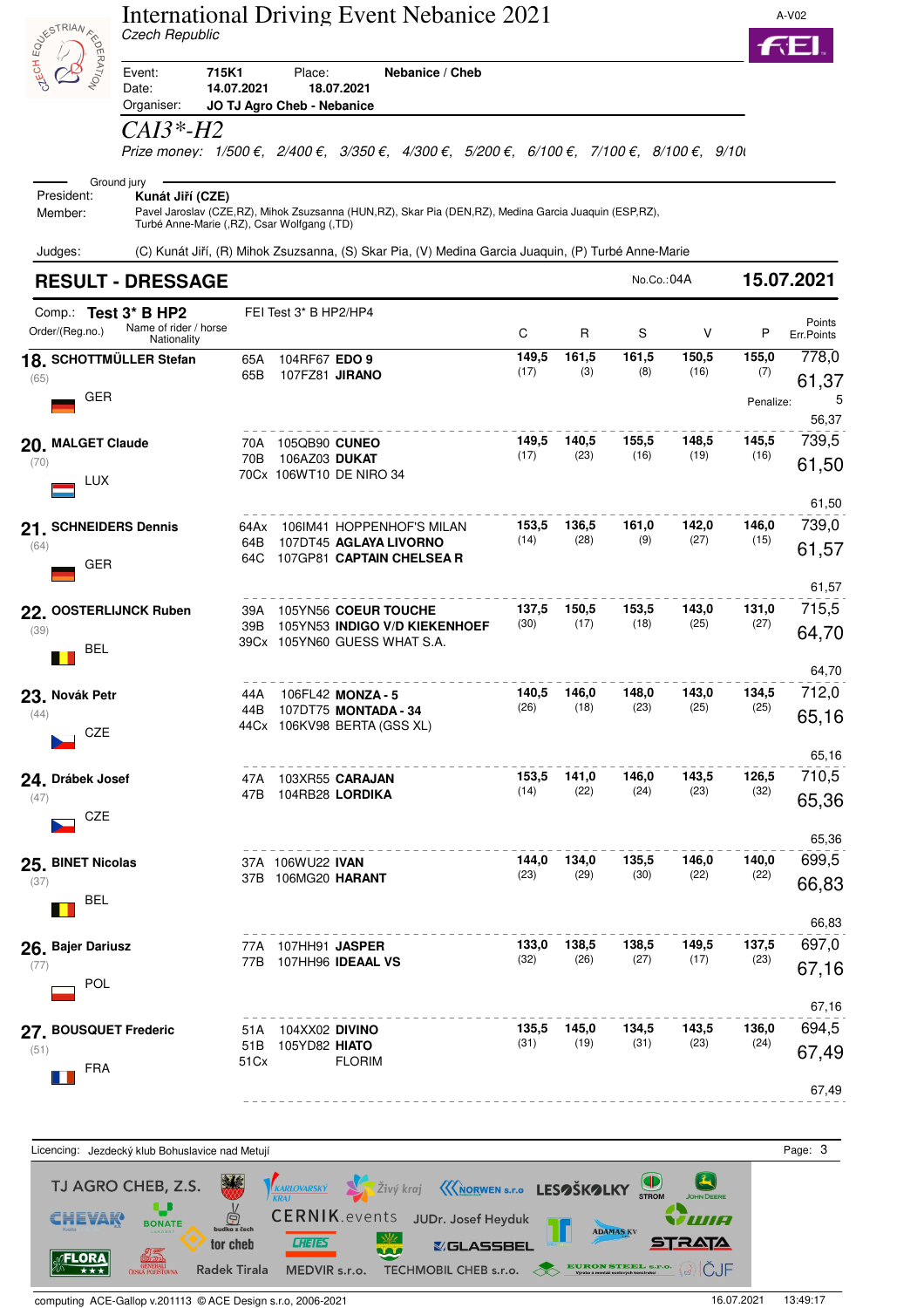| <b>ASTRIAN</b>                               | Czech Republic                                                                 |                      |                                        | International Driving Event Nebanice 2021                                                                 |               |                     |               |               |               | A-V02                   |
|----------------------------------------------|--------------------------------------------------------------------------------|----------------------|----------------------------------------|-----------------------------------------------------------------------------------------------------------|---------------|---------------------|---------------|---------------|---------------|-------------------------|
| EPATION                                      | 715K1<br>Event:<br>Date:<br>Organiser:                                         | 14.07.2021           | Place:<br>JO TJ Agro Cheb - Nebanice   | Nebanice / Cheb<br>18.07.2021                                                                             |               |                     |               |               |               |                         |
|                                              | CAI3*-H2                                                                       |                      |                                        | Prize money: 1/500 €, 2/400 €, 3/350 €, 4/300 €, 5/200 €, 6/100 €, 7/100 €, 8/100 €, 9/10                 |               |                     |               |               |               |                         |
| President:<br>Member:                        | Ground jury<br>Kunát Jiří (CZE)<br>Turbé Anne-Marie (,RZ), Csar Wolfgang (,TD) |                      |                                        | Pavel Jaroslav (CZE, RZ), Mihok Zsuzsanna (HUN, RZ), Skar Pia (DEN, RZ), Medina Garcia Juaquin (ESP, RZ), |               |                     |               |               |               |                         |
| Judges:                                      |                                                                                |                      |                                        | (C) Kunát Jiří, (R) Mihok Zsuzsanna, (S) Skar Pia, (V) Medina Garcia Juaquin, (P) Turbé Anne-Marie        |               |                     |               |               |               |                         |
|                                              | <b>RESULT - DRESSAGE</b>                                                       |                      |                                        |                                                                                                           |               |                     | No.Co.:04A    |               |               | 15.07.2021              |
| Comp.: Test 3* B HP2<br>Order/(Reg.no.)      | Name of rider / horse<br>Nationality                                           |                      | FEI Test 3* B HP2/HP4                  |                                                                                                           | C             | R                   | S             | V             | P             | Points<br>Err.Points    |
| 18. SCHOTTMÜLLER Stefan<br>(65)              |                                                                                | 65A<br>65B           | 104RF67 EDO 9<br>107FZ81 JIRANO        |                                                                                                           | 149,5<br>(17) | 161,5<br>(3)        | 161,5<br>(8)  | 150,5<br>(16) | 155,0<br>(7)  | 778,0                   |
| <b>GER</b>                                   |                                                                                |                      |                                        |                                                                                                           |               |                     |               |               | Penalize:     | 61,37<br>5<br>56,37     |
| 20. MALGET Claude<br>(70)<br><b>LUX</b>      |                                                                                | 70A<br>70B           | 105QB90 CUNEO<br>106AZ03 DUKAT         | 70Cx 106WT10 DE NIRO 34                                                                                   | 149,5<br>(17) | 140,5<br>(23)       | 155,5<br>(16) | 148,5<br>(19) | 145,5<br>(16) | 739,5<br>61,50          |
| 21. SCHNEIDERS Dennis<br>(64)<br>GER         |                                                                                | 64Ax<br>64B<br>64C   |                                        | 106IM41 HOPPENHOF'S MILAN<br>107DT45 AGLAYA LIVORNO<br>107GP81 CAPTAIN CHELSEA R                          | 153,5<br>(14) | 136,5<br>(28)       | 161,0<br>(9)  | 142,0<br>(27) | 146,0<br>(15) | 61,50<br>739,0<br>61,57 |
| 22. OOSTERLIJNCK Ruben<br>(39)<br><b>BEL</b> |                                                                                | 39A<br>39B           |                                        | 105YN56 COEUR TOUCHE<br>105YN53 INDIGO V/D KIEKENHOEF<br>39Cx 105YN60 GUESS WHAT S.A.                     | 137,5<br>(30) | 150,5<br>(17)       | 153,5<br>(18) | 143,0<br>(25) | 131,0<br>(27) | 61,57<br>715,5<br>64,70 |
| 23. Novák Petr<br>(44)<br>CZE                |                                                                                | 44A                  |                                        | 106FL42 MONZA - 5<br>44B 107DT75 MONTADA - 34<br>44Cx 106KV98 BERTA (GSS XL)                              | 140,5<br>(26) | 146,0<br>(18)       | 148,0<br>(23) | 143,0<br>(25) | 134,5<br>(25) | 64,70<br>712,0<br>65,16 |
| 24. Drábek Josef<br>(47)<br>CZE              |                                                                                | 47A                  |                                        | 103XR55 <b>CARAJAN</b><br>47B 104RB28 LORDIKA                                                             | (14)          | 153,5 141,0<br>(22) | 146,0<br>(24) | 143,5<br>(23) | 126,5<br>(32) | 65,16<br>710,5<br>65,36 |
| 25. BINET Nicolas<br>(37)<br><b>BEL</b>      |                                                                                |                      | 37A 106WU22 IVAN<br>37B 106MG20 HARANT |                                                                                                           | 144,0<br>(23) | 134,0<br>(29)       | 135,5<br>(30) | 146,0<br>(22) | 140,0<br>(22) | 65,36<br>699,5<br>66,83 |
| 26. Bajer Dariusz<br>(77)<br>POL             |                                                                                |                      | 77A 107HH91 <b>JASPER</b>              | 77B 107HH96 IDEAAL VS                                                                                     | (32)          | 133,0 138,5<br>(26) | 138,5<br>(27) | 149,5<br>(17) | 137,5<br>(23) | 66,83<br>697,0<br>67,16 |
| 27. BOUSQUET Frederic<br>(51)<br><b>FRA</b>  |                                                                                | 51 A<br>51 B<br>51Cx | 104XX02 DIVINO<br>105YD82 HIATO        | <b>FLORIM</b>                                                                                             | 135,5<br>(31) | 145,0<br>(19)       | 134,5<br>(31) | 143,5<br>(23) | 136,0<br>(24) | 67,16<br>694,5<br>67,49 |
|                                              |                                                                                |                      |                                        |                                                                                                           |               |                     |               |               |               | 67,49                   |

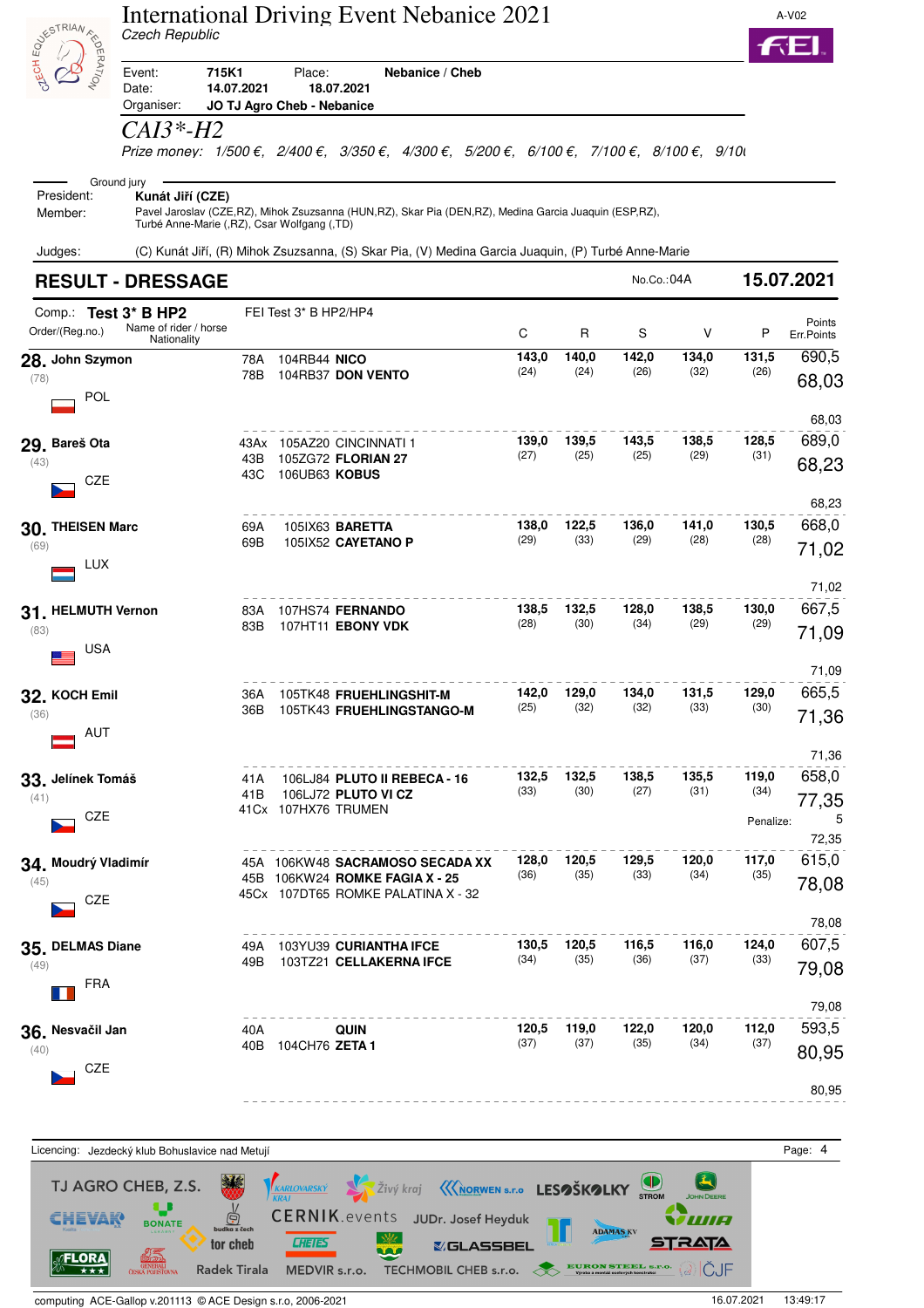| <b>DESTRIANE</b>                         | Czech Republic                                                                 |              |                                      | <b>International Driving Event Nebanice 2021</b>                                                        |               |               |               |               |                            | A-V02                   |
|------------------------------------------|--------------------------------------------------------------------------------|--------------|--------------------------------------|---------------------------------------------------------------------------------------------------------|---------------|---------------|---------------|---------------|----------------------------|-------------------------|
| EPATION                                  | 715K1<br>Event:<br>Date:<br>Organiser:                                         | 14.07.2021   | Place:<br>JO TJ Agro Cheb - Nebanice | Nebanice / Cheb<br>18.07.2021                                                                           |               |               |               |               |                            |                         |
|                                          | CAI3*-H2                                                                       |              |                                      | Prize money: 1/500 €, 2/400 €, 3/350 €, 4/300 €, 5/200 €, 6/100 €, 7/100 €, 8/100 €, 9/10               |               |               |               |               |                            |                         |
| President:<br>Member:                    | Ground jury<br>Kunát Jiří (CZE)<br>Turbé Anne-Marie (,RZ), Csar Wolfgang (,TD) |              |                                      | Pavel Jaroslav (CZE,RZ), Mihok Zsuzsanna (HUN,RZ), Skar Pia (DEN,RZ), Medina Garcia Juaquin (ESP,RZ),   |               |               |               |               |                            |                         |
| Judges:                                  |                                                                                |              |                                      | (C) Kunát Jiří, (R) Mihok Zsuzsanna, (S) Skar Pia, (V) Medina Garcia Juaquin, (P) Turbé Anne-Marie      |               |               |               |               |                            |                         |
|                                          | <b>RESULT - DRESSAGE</b>                                                       |              |                                      |                                                                                                         |               |               | No.Co.:04A    |               |                            | 15.07.2021              |
| Comp.: Test 3* B HP2<br>Order/(Reg.no.)  | Name of rider / horse<br>Nationality                                           |              | FEI Test 3* B HP2/HP4                |                                                                                                         | C             | R             | S             | V             | P                          | Points<br>Err.Points    |
| 28. John Szymon<br>(78)<br>POL           |                                                                                | 78A<br>78B   | 104RB44 NICO                         | 104RB37 DON VENTO                                                                                       | 143,0<br>(24) | 140,0<br>(24) | 142,0<br>(26) | 134,0<br>(32) | 131,5<br>(26)              | 690,5<br>68,03          |
| 29. Bareš Ota<br>(43)                    |                                                                                | 43B          |                                      | 43Ax 105AZ20 CINCINNATI 1<br>105ZG72 FLORIAN 27                                                         | 139,0<br>(27) | 139,5<br>(25) | 143,5<br>(25) | 138,5<br>(29) | 128,5<br>(31)              | 68,03<br>689,0<br>68,23 |
| <b>CZE</b><br>30. THEISEN Marc           |                                                                                | 43C<br>69A   | 106UB63 KOBUS                        | 105IX63 BARETTA                                                                                         | 138,0         | 122,5         | 136,0         | 141,0         | 130,5                      | 68,23<br>668,0          |
| (69)<br><b>LUX</b>                       |                                                                                | 69B          |                                      | 1051X52 CAYETANO P                                                                                      | (29)          | (33)          | (29)          | (28)          | (28)                       | 71,02                   |
| 31. HELMUTH Vernon<br>(83)<br><b>USA</b> |                                                                                | 83A<br>83B   |                                      | 107HS74 FERNANDO<br>107HT11 EBONY VDK                                                                   | 138,5<br>(28) | 132,5<br>(30) | 128,0<br>(34) | 138,5<br>(29) | 130,0<br>(29)              | 71,02<br>667,5<br>71,09 |
| 32. KOCH Emil<br>(36)                    |                                                                                | 36A<br>36B   |                                      | 105TK48 FRUEHLINGSHIT-M<br>105TK43 FRUEHLINGSTANGO-M                                                    | 142,0<br>(25) | 129,0<br>(32) | 134,0<br>(32) | 131,5<br>(33) | 129,0<br>(30)              | 71,09<br>665,5<br>71,36 |
| AUT                                      |                                                                                |              |                                      |                                                                                                         |               |               |               |               |                            | 71,36                   |
| 33. Jelínek Tomáš<br>(41)<br>CZE         |                                                                                | 41 A<br>41 B | 41Cx 107HX76 TRUMEN                  | 106LJ84 PLUTO II REBECA - 16<br>106LJ72 PLUTO VI CZ                                                     | 132,5<br>(33) | 132,5<br>(30) | 138,5<br>(27) | 135,5<br>(31) | 119,0<br>(34)<br>Penalize: | 658,0<br>77,35<br>5     |
| 34. Moudrý Vladimír<br>(45)<br>CZE       |                                                                                |              |                                      | 45A 106KW48 SACRAMOSO SECADA XX<br>45B 106KW24 ROMKE FAGIA X - 25<br>45Cx 107DT65 ROMKE PALATINA X - 32 | 128,0<br>(36) | 120,5<br>(35) | 129,5<br>(33) | 120,0<br>(34) | 117,0<br>(35)              | 72,35<br>615,0<br>78,08 |
| 35. DELMAS Diane<br>(49)<br><b>FRA</b>   |                                                                                | 49A<br>49B   |                                      | 103YU39 CURIANTHA IFCE<br>103TZ21 CELLAKERNA IFCE                                                       | 130,5<br>(34) | 120,5<br>(35) | 116,5<br>(36) | 116,0<br>(37) | 124,0<br>(33)              | 78,08<br>607,5<br>79,08 |
| 36. Nesvačil Jan                         |                                                                                | 40A          |                                      | QUIN                                                                                                    | 120,5         | 119,0         | 122,0         | 120,0         | 112,0                      | 79,08<br>593,5          |
| (40)<br>CZE                              |                                                                                |              | 40B 104CH76 ZETA 1                   |                                                                                                         | (37)          | (37)          | (35)          | (34)          | (37)                       | 80,95                   |
|                                          |                                                                                |              |                                      |                                                                                                         |               |               |               |               |                            | 80,95                   |

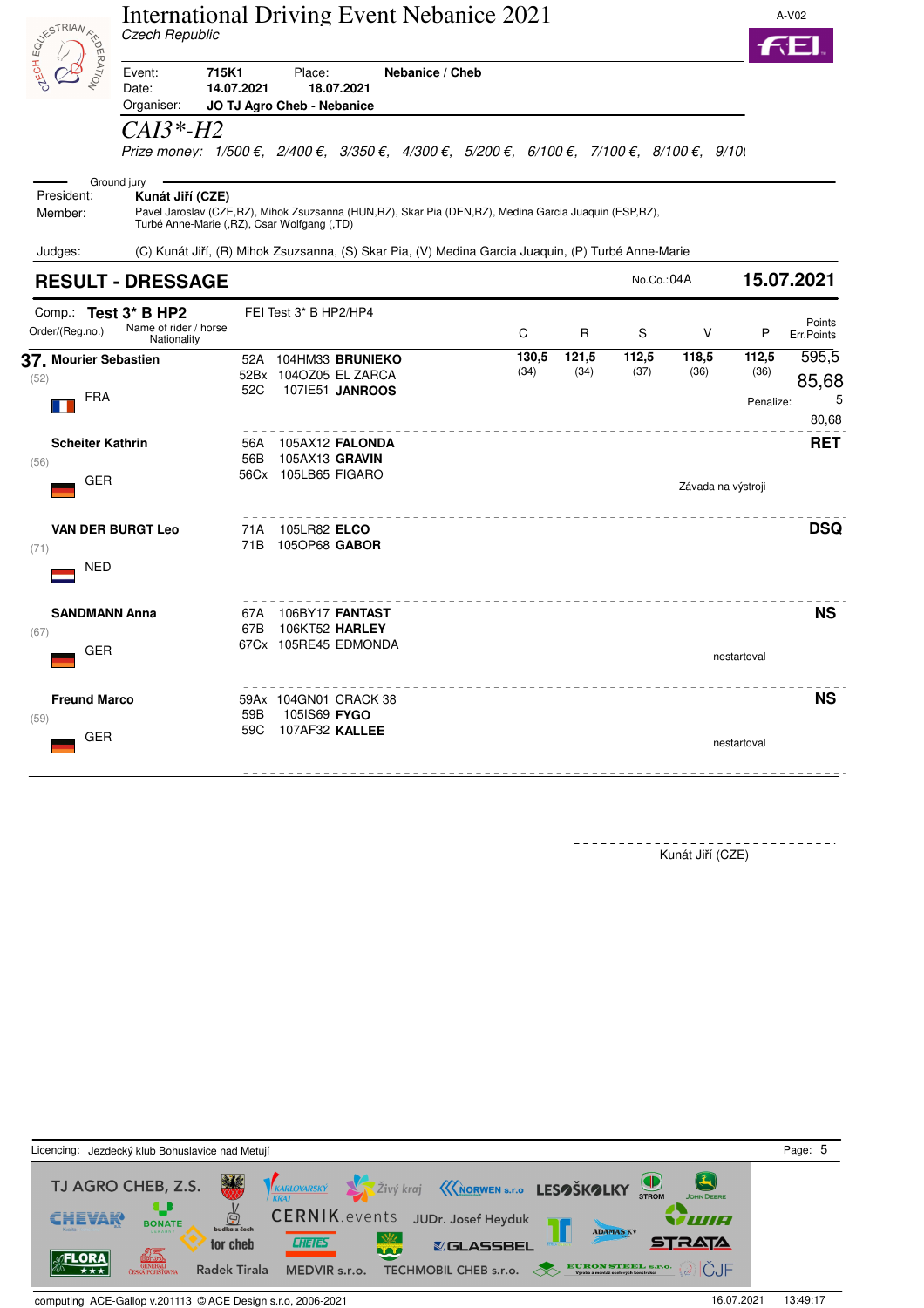|                                               | <b>International Driving Event Nebanice 2021</b><br>Czech Republic                                                                                                                          |             |                                       |                                                                  |                 |               |               |               |                    |                            | A-V02                        |
|-----------------------------------------------|---------------------------------------------------------------------------------------------------------------------------------------------------------------------------------------------|-------------|---------------------------------------|------------------------------------------------------------------|-----------------|---------------|---------------|---------------|--------------------|----------------------------|------------------------------|
| <b>SIVESTRIAN AND</b>                         | 715K1<br>Event:<br>Date:<br>Organiser:<br>CAI3*-H2                                                                                                                                          | 14.07.2021  | Place:<br>JO TJ Agro Cheb - Nebanice  | 18.07.2021                                                       | Nebanice / Cheb |               |               |               |                    |                            |                              |
|                                               | Prize money: 1/500 €, 2/400 €, 3/350 €, 4/300 €, 5/200 €, 6/100 €, 7/100 €, 8/100 €, 9/10                                                                                                   |             |                                       |                                                                  |                 |               |               |               |                    |                            |                              |
| President:<br>Member:                         | Ground jury<br>Kunát Jiří (CZE)<br>Pavel Jaroslav (CZE, RZ), Mihok Zsuzsanna (HUN, RZ), Skar Pia (DEN, RZ), Medina Garcia Juaquin (ESP, RZ),<br>Turbé Anne-Marie (,RZ), Csar Wolfgang (,TD) |             |                                       |                                                                  |                 |               |               |               |                    |                            |                              |
| Judges:                                       | (C) Kunát Jiří, (R) Mihok Zsuzsanna, (S) Skar Pia, (V) Medina Garcia Juaquin, (P) Turbé Anne-Marie                                                                                          |             |                                       |                                                                  |                 |               |               |               |                    |                            |                              |
|                                               | <b>RESULT - DRESSAGE</b>                                                                                                                                                                    |             |                                       |                                                                  |                 |               |               | No.Co.: 04A   |                    |                            | 15.07.2021                   |
| Comp.: Test 3* B HP2<br>Order/(Reg.no.)       | Name of rider / horse<br>Nationality                                                                                                                                                        |             | FEI Test 3* B HP2/HP4                 |                                                                  |                 | C             | R             | S             | V                  | P                          | Points<br>Err.Points         |
| 37. Mourier Sebastien<br>(52)<br><b>FRA</b>   |                                                                                                                                                                                             | 52C         |                                       | 52A 104HM33 BRUNIEKO<br>52Bx 104OZ05 EL ZARCA<br>107IE51 JANROOS |                 | 130,5<br>(34) | 121,5<br>(34) | 112,5<br>(37) | 118,5<br>(36)      | 112,5<br>(36)<br>Penalize: | 595,5<br>85,68<br>5<br>80,68 |
| <b>Scheiter Kathrin</b><br>(56)<br><b>GER</b> |                                                                                                                                                                                             | 56A<br>56B  | 105AX13 GRAVIN<br>56Cx 105LB65 FIGARO | 105AX12 FALONDA                                                  |                 |               |               |               | Závada na výstroji |                            | <b>RET</b>                   |
| (71)<br><b>NED</b>                            | <b>VAN DER BURGT Leo</b>                                                                                                                                                                    | 71 A<br>71B | 105LR82 ELCO<br>1050P68 GABOR         |                                                                  |                 |               |               |               |                    |                            | <b>DSQ</b>                   |
| <b>SANDMANN Anna</b><br>(67)<br>GER           |                                                                                                                                                                                             | 67A<br>67B  |                                       | 106BY17 FANTAST<br>106KT52 HARLEY<br>67Cx 105RE45 EDMONDA        |                 |               |               |               |                    |                            | <b>NS</b>                    |
| <b>Freund Marco</b>                           |                                                                                                                                                                                             |             |                                       | 59Ax 104GN01 CRACK 38                                            |                 |               |               |               |                    | nestartoval                | <b>NS</b>                    |
| (59)<br>GER                                   |                                                                                                                                                                                             | 59B<br>59C  | 105IS69 <b>FYGO</b><br>107AF32 KALLEE |                                                                  |                 |               |               |               |                    | nestartoval                |                              |
|                                               |                                                                                                                                                                                             |             |                                       |                                                                  |                 |               |               |               |                    |                            |                              |

Kunát Jiří (CZE)

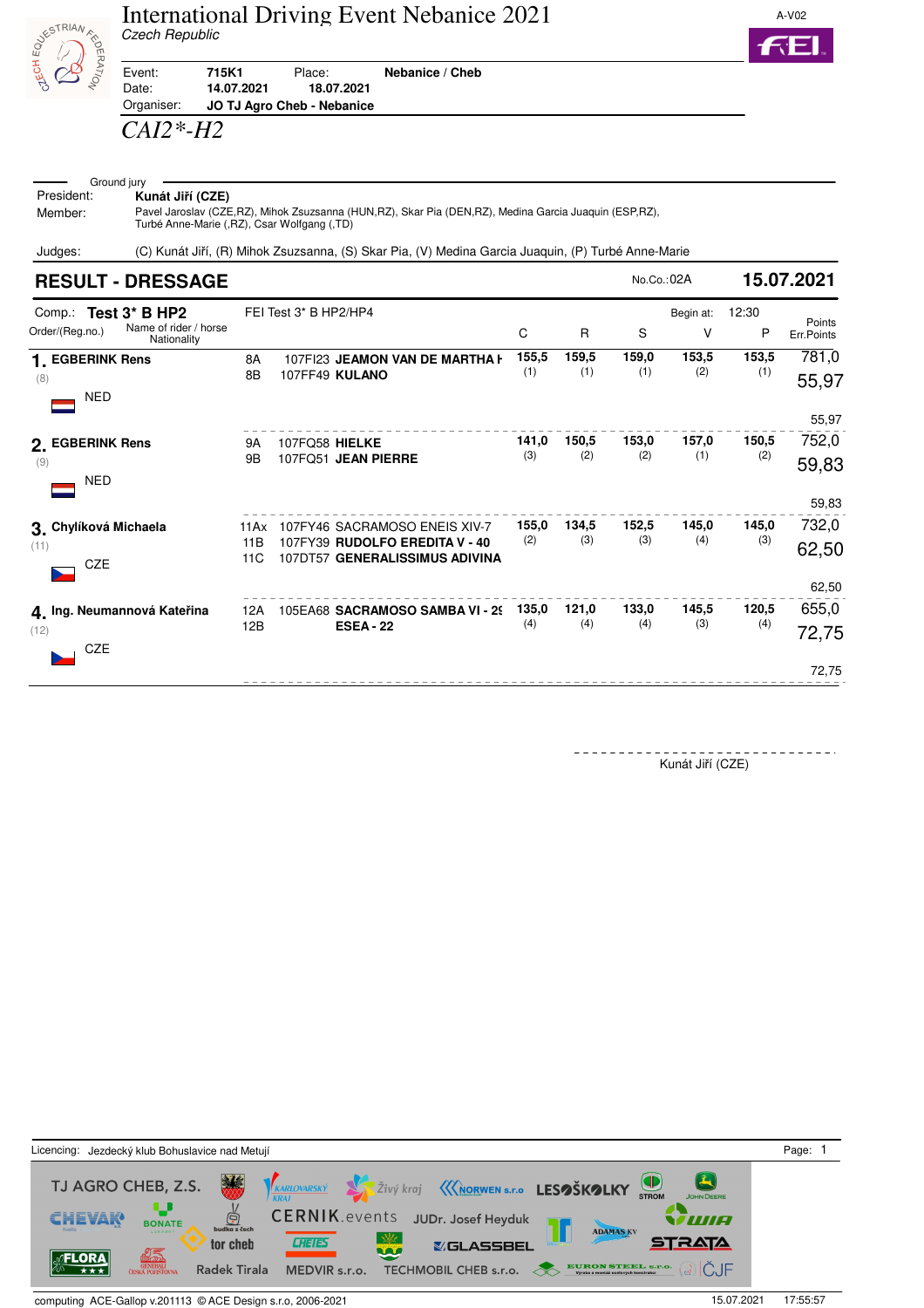



Event: **715K1** Place: **Nebanice / Cheb** Date: **14.07.2021 18.07.2021** Organiser: **JO TJ Agro Cheb - Nebanice**

## *CAI2\*-H2*

## Ground jury<br>President: K  $K$ unát Jiří (CZE)

Member: Pavel Jaroslav (CZE,RZ), Mihok Zsuzsanna (HUN,RZ), Skar Pia (DEN,RZ), Medina Garcia Juaquin (ESP,RZ), Turbé Anne-Marie (,RZ), Csar Wolfgang (,TD)

Judges: (C) Kunát Jiří, (R) Mihok Zsuzsanna, (S) Skar Pia, (V) Medina Garcia Juaquin, (P) Turbé Anne-Marie

| <b>RESULT - DRESSAGE</b>                                                        |                    |                       |                                                                                                   |              |              | No.Co.: 02A  |                | 15.07.2021   |                                  |
|---------------------------------------------------------------------------------|--------------------|-----------------------|---------------------------------------------------------------------------------------------------|--------------|--------------|--------------|----------------|--------------|----------------------------------|
| Comp.: Test 3* B HP2<br>Name of rider / horse<br>Order/(Reg.no.)<br>Nationality |                    | FEI Test 3* B HP2/HP4 |                                                                                                   | C            | $\mathsf{R}$ | S            | Begin at:<br>٧ | 12:30<br>P   | Points<br>Err.Points             |
| 1. EGBERINK Rens<br>(8)<br><b>NED</b>                                           | 8A<br>8B           |                       | 107FI23 JEAMON VAN DE MARTHA H<br>107FF49 KULANO                                                  | 155,5<br>(1) | 159,5<br>(1) | 159,0<br>(1) | 153,5<br>(2)   | 153,5<br>(1) | 781,0<br>55,97                   |
| 2. EGBERINK Rens<br>(9)<br>NED                                                  | <b>9A</b><br>9B    | 107FQ58 HIELKE        | 107FQ51 JEAN PIERRE                                                                               | 141,0<br>(3) | 150,5<br>(2) | 153,0<br>(2) | 157,0<br>(1)   | 150,5<br>(2) | 55,97<br>752,0<br>59,83          |
| 3. Chylíková Michaela<br>(11)<br><b>CZE</b>                                     | 11Ax<br>11B<br>11C |                       | 107FY46 SACRAMOSO ENEIS XIV-7<br>107FY39 RUDOLFO EREDITA V - 40<br>107DT57 GENERALISSIMUS ADIVINA | 155,0<br>(2) | 134,5<br>(3) | 152,5<br>(3) | 145,0<br>(4)   | 145,0<br>(3) | 59,83<br>732,0<br>62,50<br>62,50 |
| 4. Ing. Neumannová Kateřina<br>(12)<br>CZE                                      | 12A<br>12B         |                       | 105EA68 SACRAMOSO SAMBA VI - 29<br><b>ESEA - 22</b>                                               | 135,0<br>(4) | 121,0<br>(4) | 133,0<br>(4) | 145,5<br>(3)   | 120,5<br>(4) | 655,0<br>72,75                   |
|                                                                                 |                    |                       |                                                                                                   |              |              |              |                |              | 72,75                            |

Kunát Jiří (CZE)

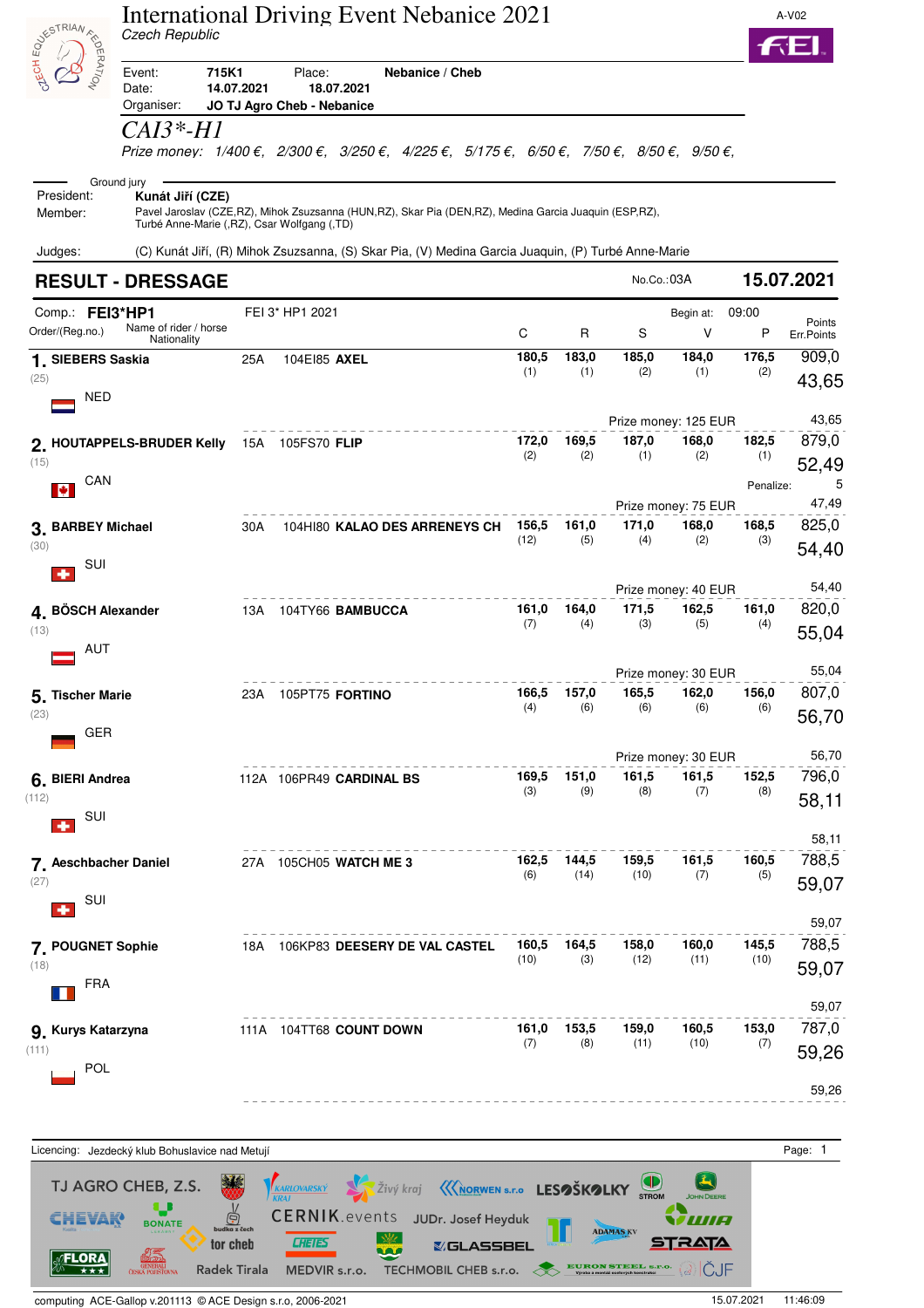| <b>POLITICAL ASSESSION</b>                | Czech Republic                                                                 |            |                                                    | <b>International Driving Event Nebanice 2021</b>                                                                                                                                  |               |               |                      |                              |              | A-V02                |
|-------------------------------------------|--------------------------------------------------------------------------------|------------|----------------------------------------------------|-----------------------------------------------------------------------------------------------------------------------------------------------------------------------------------|---------------|---------------|----------------------|------------------------------|--------------|----------------------|
|                                           | 715K1<br>Event:<br>Date:<br>Organiser:                                         | 14.07.2021 | Place:<br>18.07.2021<br>JO TJ Agro Cheb - Nebanice | Nebanice / Cheb                                                                                                                                                                   |               |               |                      |                              |              |                      |
|                                           | <i>CAI3*-H1</i>                                                                |            |                                                    | Prize money: $1/400 \epsilon$ , $2/300 \epsilon$ , $3/250 \epsilon$ , $4/225 \epsilon$ , $5/175 \epsilon$ , $6/50 \epsilon$ , $7/50 \epsilon$ , $8/50 \epsilon$ , $9/50 \epsilon$ |               |               |                      |                              |              |                      |
| President:<br>Member:                     | Ground jury<br>Kunát Jiří (CZE)<br>Turbé Anne-Marie (,RZ), Csar Wolfgang (,TD) |            |                                                    | Pavel Jaroslav (CZE,RZ), Mihok Zsuzsanna (HUN,RZ), Skar Pia (DEN,RZ), Medina Garcia Juaquin (ESP,RZ),                                                                             |               |               |                      |                              |              |                      |
| Judges:                                   |                                                                                |            |                                                    | (C) Kunát Jiří, (R) Mihok Zsuzsanna, (S) Skar Pia, (V) Medina Garcia Juaquin, (P) Turbé Anne-Marie                                                                                |               |               |                      |                              |              |                      |
|                                           | <b>RESULT - DRESSAGE</b>                                                       |            |                                                    |                                                                                                                                                                                   |               |               | No.Co.:03A           |                              |              | 15.07.2021           |
| Comp.: FEI3*HP1<br>Order/(Reg.no.)        | Name of rider / horse<br>Nationality                                           |            | FEI 3* HP1 2021                                    |                                                                                                                                                                                   | С             | R             | S                    | Begin at:<br>V               | 09:00<br>P   | Points<br>Err.Points |
| 1. SIEBERS Saskia                         |                                                                                | 25A        | 104E185 AXEL                                       |                                                                                                                                                                                   | 180,5<br>(1)  | 183,0<br>(1)  | 185,0<br>(2)         | 184,0<br>(1)                 | 176,5<br>(2) | 909,0                |
| (25)<br>NED                               |                                                                                |            |                                                    |                                                                                                                                                                                   |               |               |                      |                              |              | 43,65                |
|                                           |                                                                                |            |                                                    |                                                                                                                                                                                   |               |               | Prize money: 125 EUR |                              |              | 43,65                |
|                                           | 2. HOUTAPPELS-BRUDER Kelly                                                     |            | 15A 105FS70 FLIP                                   |                                                                                                                                                                                   | 172,0<br>(2)  | 169,5<br>(2)  | 187,0<br>(1)         | 168,0<br>(2)                 | 182,5<br>(1) | 879,0                |
| (15)<br>CAN                               |                                                                                |            |                                                    |                                                                                                                                                                                   |               |               |                      |                              | Penalize:    | 52,49<br>5           |
| IØ.                                       |                                                                                |            |                                                    |                                                                                                                                                                                   |               |               |                      | Prize money: 75 EUR          |              | 47,49                |
| 3. BARBEY Michael                         |                                                                                | 30A        |                                                    | 104HI80 KALAO DES ARRENEYS CH                                                                                                                                                     | 156,5         | 161,0         | 171,0                | 168,0                        | 168,5        | 825,0                |
| (30)<br>SUI                               |                                                                                |            |                                                    |                                                                                                                                                                                   | (12)          | (5)           | (4)                  | (2)                          | (3)          | 54,40                |
|                                           |                                                                                |            |                                                    |                                                                                                                                                                                   |               |               |                      | Prize money: 40 EUR          |              | 54,40                |
| 4. BÖSCH Alexander<br>(13)                |                                                                                | 13A        | 104TY66 BAMBUCCA                                   |                                                                                                                                                                                   | 161,0<br>(7)  | 164,0<br>(4)  | 171,5<br>(3)         | 162,5<br>(5)                 | 161,0<br>(4) | 820,0<br>55,04       |
| AUT                                       |                                                                                |            |                                                    |                                                                                                                                                                                   |               |               |                      |                              |              |                      |
| 5. Tischer Marie                          |                                                                                | 23 A       | 105PT75 FORTINO                                    |                                                                                                                                                                                   | 166,5         | 157,0         | 165,5                | Prize money: 30 EUR<br>162,0 | 156,0        | 55,04<br>807,0       |
| (23)<br>GER                               |                                                                                |            |                                                    |                                                                                                                                                                                   | (4)           | (6)           | (6)                  | (6)                          | (6)          | 56,70                |
|                                           |                                                                                |            |                                                    |                                                                                                                                                                                   |               |               |                      | Prize money: 30 EUR          |              | 56,70                |
| 6. BIERI Andrea                           |                                                                                |            | 112A 106PR49 CARDINAL BS                           |                                                                                                                                                                                   | 169,5<br>(3)  | 151,0<br>(9)  | 161,5<br>(8)         | 161,5<br>(7)                 | 152,5<br>(8) | 796,0                |
| (112)<br>SUI                              |                                                                                |            |                                                    |                                                                                                                                                                                   |               |               |                      |                              |              | 58,11                |
|                                           |                                                                                |            |                                                    |                                                                                                                                                                                   |               |               |                      |                              |              | 58,11                |
| 7. Aeschbacher Daniel                     |                                                                                |            | 27A 105CH05 WATCH ME 3                             |                                                                                                                                                                                   | 162,5<br>(6)  | 144,5<br>(14) | 159,5<br>(10)        | 161,5<br>(7)                 | 160,5<br>(5) | 788,5                |
| (27)<br>SUI                               |                                                                                |            |                                                    |                                                                                                                                                                                   |               |               |                      |                              |              | 59,07                |
|                                           |                                                                                |            |                                                    |                                                                                                                                                                                   |               |               |                      | 160,0                        | 145,5        | 59,07<br>788,5       |
| 7. POUGNET Sophie<br>(18)                 |                                                                                |            |                                                    | 18A 106KP83 DEESERY DE VAL CASTEL                                                                                                                                                 | 160,5<br>(10) | 164,5<br>(3)  | 158,0<br>(12)        | (11)                         | (10)         | 59,07                |
| <b>FRA</b>                                |                                                                                |            |                                                    |                                                                                                                                                                                   |               |               |                      |                              |              |                      |
|                                           |                                                                                |            |                                                    |                                                                                                                                                                                   |               |               |                      |                              |              | 59,07                |
| 9. Kurys Katarzyna<br>(111)<br><b>POL</b> |                                                                                |            | 111A 104TT68 COUNT DOWN                            |                                                                                                                                                                                   | 161,0<br>(7)  | 153,5<br>(8)  | 159,0<br>(11)        | 160,5<br>(10)                | 153,0<br>(7) | 787,0<br>59,26       |
|                                           |                                                                                |            |                                                    |                                                                                                                                                                                   |               |               |                      |                              |              | 59,26                |
|                                           |                                                                                |            |                                                    |                                                                                                                                                                                   |               |               |                      |                              |              |                      |

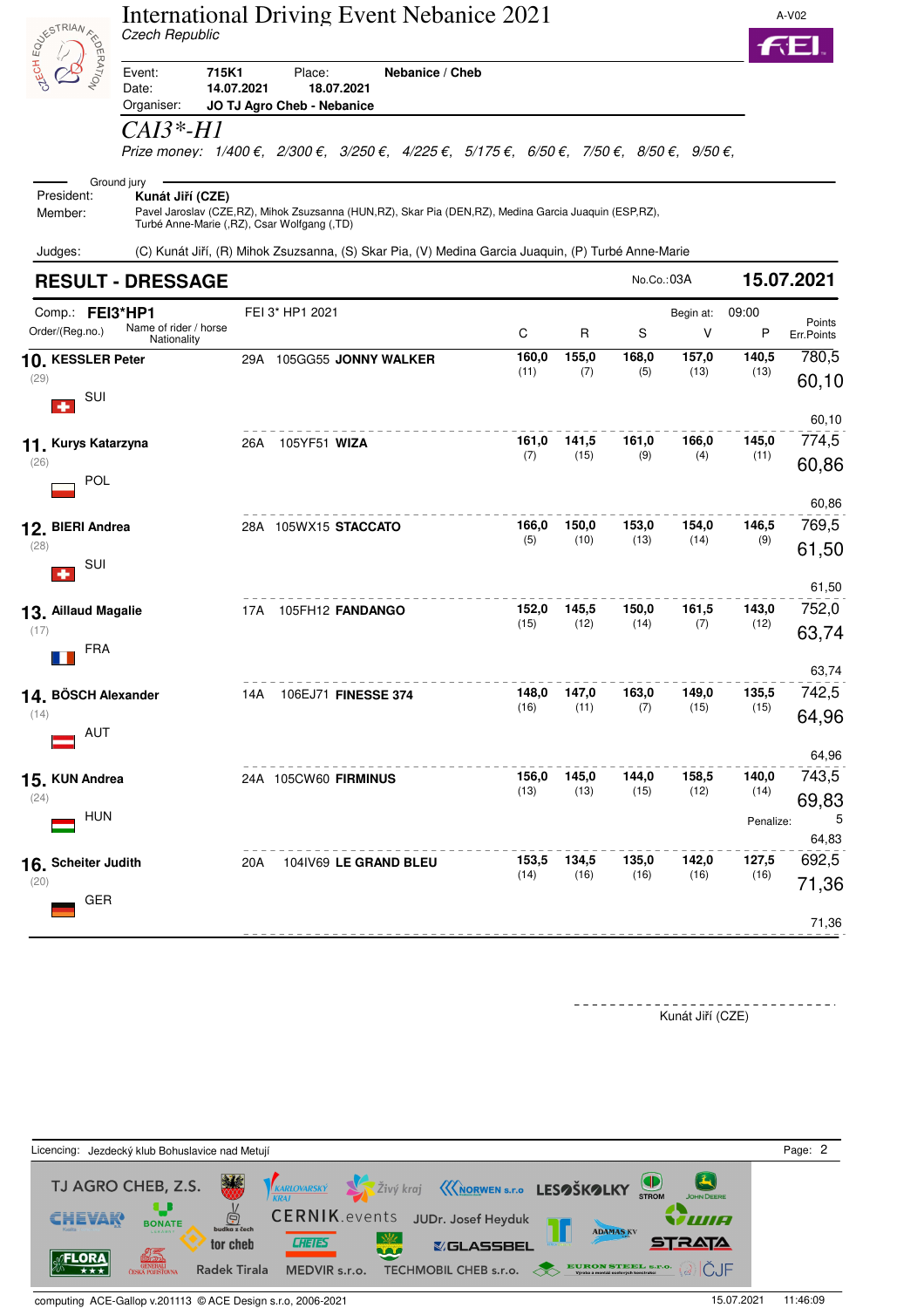|                                    | Czech Republic                                                  |            | <b>International Driving Event Nebanice 2021</b>                                                                                                                                  |               |               |               |               |               | A-V02          |
|------------------------------------|-----------------------------------------------------------------|------------|-----------------------------------------------------------------------------------------------------------------------------------------------------------------------------------|---------------|---------------|---------------|---------------|---------------|----------------|
| <b>DUNIESTRIAN</b><br>EDERATION    | 715K1<br>Event:<br>Date:<br>Organiser:                          | 14.07.2021 | Place:<br>Nebanice / Cheb<br>18.07.2021<br>JO TJ Agro Cheb - Nebanice                                                                                                             |               |               |               |               |               |                |
|                                    | CAI3*-H1                                                        |            | Prize money: $1/400 \epsilon$ , $2/300 \epsilon$ , $3/250 \epsilon$ , $4/225 \epsilon$ , $5/175 \epsilon$ , $6/50 \epsilon$ , $7/50 \epsilon$ , $8/50 \epsilon$ , $9/50 \epsilon$ |               |               |               |               |               |                |
|                                    | Ground jury                                                     |            |                                                                                                                                                                                   |               |               |               |               |               |                |
| President:<br>Member:              | Kunát Jiří (CZE)<br>Turbé Anne-Marie (,RZ), Csar Wolfgang (,TD) |            | Pavel Jaroslav (CZE,RZ), Mihok Zsuzsanna (HUN,RZ), Skar Pia (DEN,RZ), Medina Garcia Juaquin (ESP,RZ),                                                                             |               |               |               |               |               |                |
| Judges:                            |                                                                 |            | (C) Kunát Jiří, (R) Mihok Zsuzsanna, (S) Skar Pia, (V) Medina Garcia Juaquin, (P) Turbé Anne-Marie                                                                                |               |               |               |               |               |                |
|                                    | <b>RESULT - DRESSAGE</b>                                        |            |                                                                                                                                                                                   |               |               | No.Co.:03A    |               |               | 15.07.2021     |
| Comp.: FEI3*HP1                    |                                                                 |            | FEI 3* HP1 2021                                                                                                                                                                   |               |               |               | Begin at:     | 09:00         | Points         |
| Order/(Reg.no.)                    | Name of rider / horse<br>Nationality                            |            |                                                                                                                                                                                   | C             | R             | S             | V             | Ρ             | Err.Points     |
| 10. KESSLER Peter<br>(29)<br>SUI   |                                                                 |            | 29A 105GG55 JONNY WALKER                                                                                                                                                          | 160,0<br>(11) | 155,0<br>(7)  | 168,0<br>(5)  | 157,0<br>(13) | 140,5<br>(13) | 780,5<br>60,10 |
|                                    |                                                                 |            |                                                                                                                                                                                   |               |               |               |               |               | 60,10          |
| 11. Kurys Katarzyna<br>(26)<br>POL |                                                                 | 26A        | 105YF51 WIZA                                                                                                                                                                      | 161,0<br>(7)  | 141,5<br>(15) | 161,0<br>(9)  | 166,0<br>(4)  | 145,0<br>(11) | 774,5<br>60,86 |
|                                    |                                                                 |            |                                                                                                                                                                                   |               |               |               |               |               | 60,86          |
| 12. BIERI Andrea<br>(28)           |                                                                 |            | 28A 105WX15 STACCATO                                                                                                                                                              | 166,0<br>(5)  | 150,0<br>(10) | 153,0<br>(13) | 154,0<br>(14) | 146,5<br>(9)  | 769,5          |
| SUI                                |                                                                 |            |                                                                                                                                                                                   |               |               |               |               |               | 61,50          |
| 13. Aillaud Magalie                |                                                                 | 17A        | 105FH12 FANDANGO                                                                                                                                                                  | 152,0         | 145,5         | 150,0         | 161,5         | 143,0         | 61,50<br>752,0 |
| (17)<br><b>FRA</b>                 |                                                                 |            |                                                                                                                                                                                   | (15)          | (12)          | (14)          | (7)           | (12)          | 63,74          |
|                                    |                                                                 |            |                                                                                                                                                                                   |               |               |               |               |               | 63,74          |
| 14. BÖSCH Alexander<br>(14)<br>AUT |                                                                 | 14A        | 106EJ71 FINESSE 374                                                                                                                                                               | 148,0<br>(16) | 147,0<br>(11) | 163,0<br>(7)  | 149,0<br>(15) | 135,5<br>(15) | 742,5<br>64,96 |
|                                    |                                                                 |            |                                                                                                                                                                                   |               |               |               |               |               | 64,96          |
| 15. KUN Andrea<br>(24)             |                                                                 |            | 24A 105CW60 FIRMINUS                                                                                                                                                              | 156,0<br>(13) | 145,0<br>(13) | 144,0<br>(15) | 158,5<br>(12) | 140,0<br>(14) | 743,5<br>69,83 |
| <b>HUN</b>                         |                                                                 |            |                                                                                                                                                                                   |               |               |               |               | Penalize:     | 5<br>64,83     |
| 16. Scheiter Judith                |                                                                 | 20A        | 104IV69 LE GRAND BLEU                                                                                                                                                             | 153,5<br>(14) | 134,5<br>(16) | 135,0<br>(16) | 142,0<br>(16) | 127,5<br>(16) | 692,5          |
| (20)<br>GER                        |                                                                 |            |                                                                                                                                                                                   |               |               |               |               |               | 71,36          |
|                                    |                                                                 |            |                                                                                                                                                                                   |               |               |               |               |               | 71,36          |

Kunát Jiří (CZE)



computing ACE-Gallop v.201113 © ACE Design s.r.o, 2006-2021 15.07.2021 11:46:09